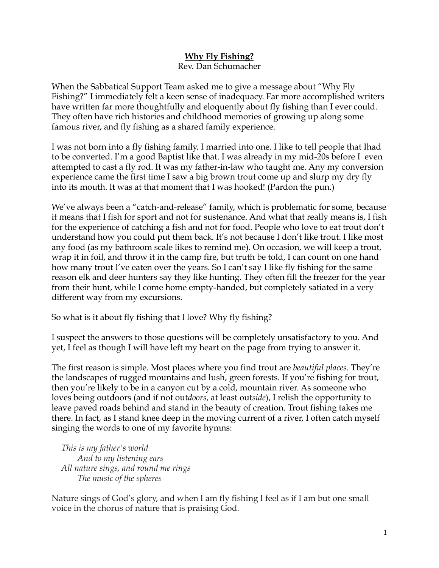## **Why Fly Fishing?** Rev. Dan Schumacher

When the Sabbatical Support Team asked me to give a message about "Why Fly Fishing?" I immediately felt a keen sense of inadequacy. Far more accomplished writers have written far more thoughtfully and eloquently about fly fishing than I ever could. They often have rich histories and childhood memories of growing up along some famous river, and fly fishing as a shared family experience.

I was not born into a fly fishing family. I married into one. I like to tell people that Ihad to be converted. I'm a good Baptist like that. I was already in my mid-20s before I even attempted to cast a fly rod. It was my father-in-law who taught me. Any my conversion experience came the first time I saw a big brown trout come up and slurp my dry fly into its mouth. It was at that moment that I was hooked! (Pardon the pun.)

We've always been a "catch-and-release" family, which is problematic for some, because it means that I fish for sport and not for sustenance. And what that really means is, I fish for the experience of catching a fish and not for food. People who love to eat trout don't understand how you could put them back. It's not because I don't like trout. I like most any food (as my bathroom scale likes to remind me). On occasion, we will keep a trout, wrap it in foil, and throw it in the camp fire, but truth be told, I can count on one hand how many trout I've eaten over the years. So I can't say I like fly fishing for the same reason elk and deer hunters say they like hunting. They often fill the freezer for the year from their hunt, while I come home empty-handed, but completely satiated in a very different way from my excursions.

So what is it about fly fishing that I love? Why fly fishing?

I suspect the answers to those questions will be completely unsatisfactory to you. And yet, I feel as though I will have left my heart on the page from trying to answer it.

The first reason is simple. Most places where you find trout are *beautiful places*. They're the landscapes of rugged mountains and lush, green forests. If you're fishing for trout, then you're likely to be in a canyon cut by a cold, mountain river. As someone who loves being outdoors (and if not out*doors*, at least out*side*), I relish the opportunity to leave paved roads behind and stand in the beauty of creation. Trout fishing takes me there. In fact, as I stand knee deep in the moving current of a river, I often catch myself singing the words to one of my favorite hymns:

*This is my father's world And to my listening ears All nature sings, and round me rings The music of the spheres*

Nature sings of God's glory, and when I am fly fishing I feel as if I am but one small voice in the chorus of nature that is praising God.